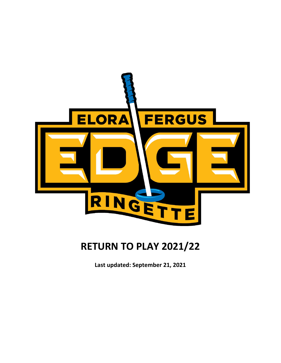

# **RETURN TO PLAY 2021/22**

**Last updated: September 21, 2021**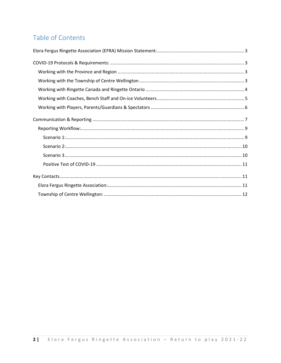# Table of Contents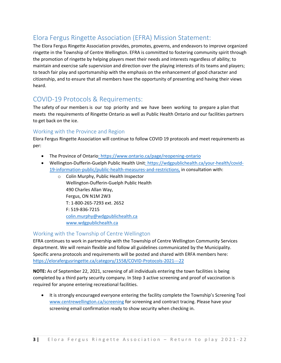# Elora Fergus Ringette Association (EFRA) Mission Statement:

The Elora Fergus Ringette Association provides, promotes, governs, and endeavors to improve organized ringette in the Township of Centre Wellington. EFRA is committed to fostering community spirit through the promotion of ringette by helping players meet their needs and interests regardless of ability; to maintain and exercise safe supervision and direction over the playing interests of its teams and players; to teach fair play and sportsmanship with the emphasis on the enhancement of good character and citizenship, and to ensure that all members have the opportunity of presenting and having their views heard.

# COVID‐19 Protocols & Requirements:

The safety of our members is our top priority and we have been working to prepare a plan that meets the requirements of Ringette Ontario as well as Public Health Ontario and our facilities partners to get back on the ice.

### Working with the Province and Region

Elora Fergus Ringette Association will continue to follow COVID 19 protocols and meet requirements as per:

- The Province of Ontario: https://www.ontario.ca/page/reopening-ontario
- Wellington-Dufferin-Guelph Public Health Unit: https://wdgpublichealth.ca/your-health/covid-19‐information‐public/public‐health‐measures‐and‐restrictions, in consultation with:
	- o Colin Murphy, Public Health Inspector Wellington‐Dufferin‐Guelph Public Health 490 Charles Allan Way, Fergus, ON N1M 2W3 T: 1‐800‐265‐7293 ext. 2652 F: 519‐836‐7215 colin.murphy@wdgpublichealth.ca www.wdgpublichealth.ca

## Working with the Township of Centre Wellington

EFRA continues to work in partnership with the Township of Centre Wellington Community Services department. We will remain flexible and follow all guidelines communicated by the Municipality. Specific arena protocols and requirements will be posted and shared with ERFA members here: https://elorafergusringette.ca/category/1558/COVID‐Protocols‐2021‐‐‐22

**NOTE:** As of September 22, 2021, screening of all individuals entering the town facilities is being completed by a third party security company. In Step 3 active screening and proof of vaccination is required for anyone entering recreational facilities.

• It is strongly encouraged everyone entering the facility complete the Township's Screening Tool www.centrewellington.ca/screening for screening and contract tracing. Please have your screening email confirmation ready to show security when checking in.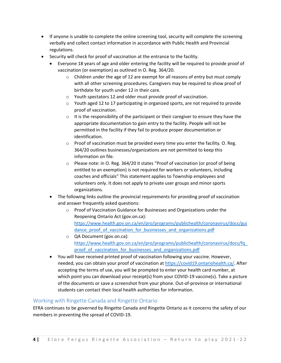- If anyone is unable to complete the online screening tool, security will complete the screening verbally and collect contact information in accordance with Public Health and Provincial regulations.
- Security will check for proof of vaccination at the entrance to the facility.
	- Everyone 18 years of age and older entering the facility will be required to provide proof of vaccination (or exemption) as outlined in O. Reg. 364/20.
		- $\circ$  Children under the age of 12 are exempt for all reasons of entry but must comply with all other screening procedures. Caregivers may be required to show proof of birthdate for youth under 12 in their care.
		- o Youth spectators 12 and older must provide proof of vaccination.
		- o Youth aged 12 to 17 participating in organized sports, are not required to provide proof of vaccination.
		- $\circ$  It is the responsibility of the participant or their caregiver to ensure they have the appropriate documentation to gain entry to the facility. People will not be permitted in the facility if they fail to produce proper documentation or identification.
		- o Proof of vaccination must be provided every time you enter the facility. O. Reg. 364/20 outlines businesses/organizations are not permitted to keep this information on file.
		- o Please note: in O. Reg. 364/20 it states "Proof of vaccination (or proof of being entitled to an exemption) is not required for workers or volunteers, including coaches and officials" This statement applies to Township employees and volunteers only. It does not apply to private user groups and minor sports organizations.
	- The following links outline the provincial requirements for providing proof of vaccination and answer frequently asked questions:
		- o Proof of Vaccination Guidance for Businesses and Organizations under the Reopening Ontario Act (gov.on.ca): https://www.health.gov.on.ca/en/pro/programs/publichealth/coronavirus/docs/gui dance proof of vaccination for businesses and organizations.pdf
		- o QA Document (gov.on.ca): https://www.health.gov.on.ca/en/pro/programs/publichealth/coronavirus/docs/fq\_ proof of vaccination for businesses and organizations.pdf
	- You will have received printed proof of vaccination following your vaccine. However, needed, you can obtain your proof of vaccination at https://covid19.ontariohealth.ca/. After accepting the terms of use, you will be prompted to enter your health card number, at which point you can download your receipt(s) from your COVID-19 vaccine(s). Take a picture of the documents or save a screenshot from your phone. Out‐of‐province or international students can contact their local health authorities for information.

### Working with Ringette Canada and Ringette Ontario

EFRA continues to be governed by Ringette Canada and Ringette Ontario as it concerns the safety of our members in preventing the spread of COVID‐19.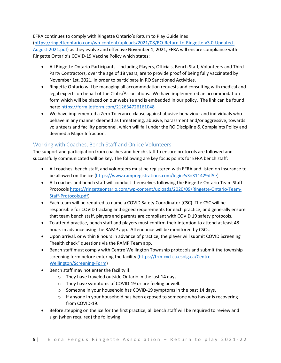### EFRA continues to comply with Ringette Ontario's Return to Play Guidelines

(https://ringetteontario.com/wp‐content/uploads/2021/08/RO‐Return‐to‐Ringette‐v3.0‐Updated‐ August‐2021.pdf) as they evolve and effective November 1, 2021, EFRA will ensure compliance with Ringette Ontario's COVID‐19 Vaccine Policy which states:

- All Ringette Ontario Participants including Players, Officials, Bench Staff, Volunteers and Third Party Contractors, over the age of 18 years, are to provide proof of being fully vaccinated by November 1st, 2021, in order to participate in RO Sanctioned Activities.
- Ringette Ontario will be managing all accommodation requests and consulting with medical and legal experts on behalf of the Clubs/Associations. We have implemented an accommodation form which will be placed on our website and is embedded in our policy. The link can be found here: https://form.jotform.com/212634726161048
- We have implemented a Zero Tolerance clause against abusive behaviour and individuals who behave in any manner deemed as threatening, abusive, harassment and/or aggressive, towards volunteers and facility personnel, which will fall under the RO Discipline & Complaints Policy and deemed a Major Infraction.

### Working with Coaches, Bench Staff and On‐ice Volunteers

The support and participation from coaches and bench staff to ensure protocols are followed and successfully communicated will be key. The following are key focus points for EFRA bench staff:

- All coaches, bench staff, and volunteers must be registered with EFRA and listed on insurance to be allowed on the ice (https://www.rampregistrations.com/login?v3=311429df5e)
- All coaches and bench staff will conduct themselves following the Ringette Ontario Team Staff Protocols https://ringetteontario.com/wp‐content/uploads/2020/09/Ringette‐Ontario‐Team‐ Staff‐Protocols.pdf)
- Each team will be required to name a COVID Safety Coordinator (CSC). The CSC will be responsible for COVID tracking and signed requirements for each practice; and generally ensure that team bench staff, players and parents are compliant with COVID 19 safety protocols.
- To attend practice, bench staff and players must confirm their intention to attend at least 48 hours in advance using the RAMP app. Attendance will be monitored by CSCs.
- Upon arrival, or within 8 hours in advance of practice, the player will submit COVID Screening "health check" questions via the RAMP Team app.
- Bench staff must comply with Centre Wellington Township protocols and submit the township screening form before entering the facility (https://frm-cvd-ca.esolg.ca/Centre-Wellington/Screening‐Form)
- Bench staff may not enter the facility if:
	- o They have traveled outside Ontario in the last 14 days.
	- o They have symptoms of COVID‐19 or are feeling unwell.
	- o Someone in your household has COVID‐19 symptoms in the past 14 days.
	- $\circ$  If anyone in your household has been exposed to someone who has or is recovering from COVID‐19.
- Before stepping on the ice for the first practice, all bench staff will be required to review and sign (when required) the following: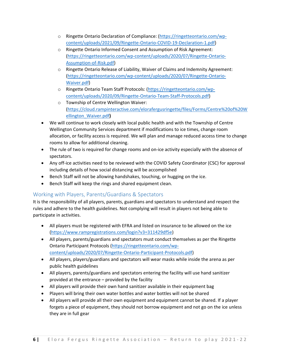- o Ringette Ontario Declaration of Compliance: (https://ringetteontario.com/wp‐ content/uploads/2021/09/Ringette‐Ontario‐COVID‐19‐Declaration‐1.pdf)
- o Ringette Ontario Informed Consent and Assumption of Risk Agreement: (https://ringetteontario.com/wp‐content/uploads/2020/07/Ringette‐Ontario‐ Assumption‐of‐Risk.pdf)
- o Ringette Ontario Release of Liability, Waiver of Claims and Indemnity Agreement: (https://ringetteontario.com/wp‐content/uploads/2020/07/Ringette‐Ontario‐ Waiver.pdf)
- o Ringette Ontario Team Staff Protocols: (https://ringetteontario.com/wp‐ content/uploads/2020/09/Ringette‐Ontario‐Team‐Staff‐Protocols.pdf)
- o Township of Centre Wellington Waiver: (https://cloud.rampinteractive.com/elorafergusringette/files/Forms/Centre%20of%20W ellington\_Waiver.pdf**)**
- We will continue to work closely with local public health and with the Township of Centre Wellington Community Services department if modifications to ice times, change room allocation, or facility access is required. We will plan and manage reduced access time to change rooms to allow for additional cleaning.
- The rule of two is required for change rooms and on-ice activity especially with the absence of spectators.
- Any off-ice activities need to be reviewed with the COVID Safety Coordinator (CSC) for approval including details of how social distancing will be accomplished
- **•** Bench Staff will not be allowing handshakes, touching, or hugging on the ice.
- Bench Staff will keep the rings and shared equipment clean.

# Working with Players, Parents/Guardians & Spectators

It is the responsibility of all players, parents, guardians and spectators to understand and respect the rules and adhere to the health guidelines. Not complying will result in players not being able to participate in activities.

- All players must be registered with EFRA and listed on insurance to be allowed on the ice (https://www.rampregistrations.com/login?v3=311429df5e)
- All players, parents/guardians and spectators must conduct themselves as per the Ringette Ontario Participant Protocols (https://ringetteontario.com/wp‐ content/uploads/2020/07/Ringette‐Ontario‐Participant‐Protocols.pdf)
- All players, players/guardians and spectators will wear masks while inside the arena as per public health guidelines
- All players, parents/guardians and spectators entering the facility will use hand sanitizer provided at the entrance – provided by the facility
- All players will provide their own hand sanitizer available in their equipment bag
- Players will bring their own water bottles and water bottles will not be shared
- All players will provide all their own equipment and equipment cannot be shared. If a player forgets a piece of equipment, they should not borrow equipment and not go on the ice unless they are in full gear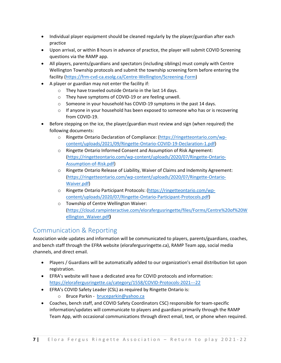- Individual player equipment should be cleaned regularly by the player/guardian after each practice
- Upon arrival, or within 8 hours in advance of practice, the player will submit COVID Screening questions via the RAMP app.
- All players, parents/guardians and spectators (including siblings) must comply with Centre Wellington Township protocols and submit the township screening form before entering the facility (https://frm‐cvd‐ca.esolg.ca/Centre‐Wellington/Screening‐Form)
- A player or guardian may not enter the facility if:
	- o They have traveled outside Ontario in the last 14 days.
	- o They have symptoms of COVID‐19 or are feeling unwell.
	- o Someone in your household has COVID‐19 symptoms in the past 14 days.
	- $\circ$  If anyone in your household has been exposed to someone who has or is recovering from COVID‐19.
- Before stepping on the ice, the player/guardian must review and sign (when required) the following documents:
	- o Ringette Ontario Declaration of Compliance: (https://ringetteontario.com/wp‐ content/uploads/2021/09/Ringette‐Ontario‐COVID‐19‐Declaration‐1.pdf)
	- o Ringette Ontario Informed Consent and Assumption of Risk Agreement: (https://ringetteontario.com/wp‐content/uploads/2020/07/Ringette‐Ontario‐ Assumption‐of‐Risk.pdf)
	- o Ringette Ontario Release of Liability, Waiver of Claims and Indemnity Agreement: (https://ringetteontario.com/wp‐content/uploads/2020/07/Ringette‐Ontario‐ Waiver.pdf)
	- o Ringette Ontario Participant Protocols: (https://ringetteontario.com/wp‐ content/uploads/2020/07/Ringette‐Ontario‐Participant‐Protocols.pdf)
	- o Township of Centre Wellington Waiver: (https://cloud.rampinteractive.com/elorafergusringette/files/Forms/Centre%20of%20W ellington\_Waiver.pdf**)**

# Communication & Reporting

Association wide updates and information will be communicated to players, parents/guardians, coaches, and bench staff through the EFRA website (elorafergusringette.ca), RAMP Team app, social media channels, and direct email.

- Players / Guardians will be automatically added to our organization's email distribution list upon registration.
- EFRA's website will have a dedicated area for COVID protocols and information: https://elorafergusringette.ca/category/1558/COVID‐Protocols‐2021‐‐‐22
- EFRA's COVID Safety Leader (CSL) as required by Ringette Ontario is:
	- o Bruce Parkin ‐ bruceparkin@yahoo.ca
- Coaches, bench staff, and COVID Safety Coordinators CSC) responsible for team-specific information/updates will communicate to players and guardians primarily through the RAMP Team App, with occasional communications through direct email, text, or phone when required.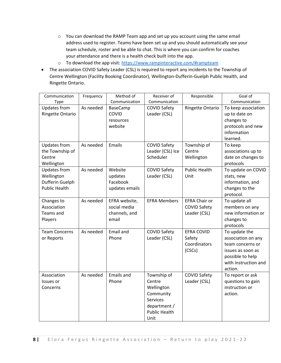- o You can download the RAMP Team app and set up you account using the same email address used to register. Teams have been set up and you should automatically see your team schedule, roster and be able to chat. This is where you can confirm for coaches your attendance and there is a health check built into the app.
- o To download the app visit: https://www.rampinteractive.com/#rampteam
- The association COVID Safety Leader (CSL) is required to report any incidents to the Township of Centre Wellington (Facility Booking Coordinator), Wellington‐Dufferin‐Guelph Public Health, and Ringette Ontario.

| Communication        | Frequency | Method of         | Receiver of          | Responsible          | Goal of              |
|----------------------|-----------|-------------------|----------------------|----------------------|----------------------|
| Type                 |           | Communication     | Communication        |                      | Communication        |
| <b>Updates from</b>  | As needed | BaseCamp          | <b>COVID Safety</b>  | Ringette Ontario     | To keep association  |
| Ringette Ontario     |           | COVID             | Leader (CSL)         |                      | up to date on        |
|                      |           | resources         |                      |                      | changes to           |
|                      |           | website           |                      |                      | protocols and new    |
|                      |           |                   |                      |                      | information          |
|                      |           |                   |                      |                      | learned.             |
| <b>Updates from</b>  | As needed | Emails            | <b>COVID Safety</b>  | Township of          | To keep              |
| the Township of      |           |                   | Leader (CSL) Ice     | Centre               | associations up to   |
| Centre               |           |                   | Scheduler            | Wellington           | date on changes to   |
| Wellington           |           |                   |                      |                      | protocols            |
| <b>Updates from</b>  | As needed | Website           | <b>COVID Safety</b>  | <b>Public Health</b> | To update on COVID   |
| Wellington           |           | updates           | Leader (CSL)         | Unit                 | stats, new           |
| Dufferin Guelph      |           | Facebook          |                      |                      | information, and     |
| <b>Public Health</b> |           | updates emails    |                      |                      | changes to the       |
|                      |           |                   |                      |                      | protocol.            |
| Changes to           | As needed | EFRA website,     | <b>EFRA Members</b>  | <b>EFRA Chair or</b> | To update all        |
| Association          |           | social media      |                      | <b>COVID Safety</b>  | members on any       |
| Teams and            |           | channels, and     |                      | Leader (CSL)         | new information or   |
| Players              |           | email             |                      |                      | changes to           |
|                      |           |                   |                      |                      | protocols            |
| <b>Team Concerns</b> | As needed | <b>Email and</b>  | <b>COVID Safety</b>  | <b>EFRA COVID</b>    | To update the        |
| or Reports           |           | Phone             | Leader (CSL)         | Safety               | association on any   |
|                      |           |                   |                      | Coordinators         | team concerns or     |
|                      |           |                   |                      | (CSCs)               | issues as soon as    |
|                      |           |                   |                      |                      | possible to help     |
|                      |           |                   |                      |                      | with instruction and |
|                      |           |                   |                      |                      | action.              |
| Association          | As needed | <b>Emails and</b> | Township of          | <b>COVID Safety</b>  | To report or ask     |
| Issues or            |           | Phone             | Centre               | Leader (CSL)         | questions to gain    |
| Concerns             |           |                   | Wellington           |                      | instruction or       |
|                      |           |                   | Community            |                      | action.              |
|                      |           |                   | <b>Services</b>      |                      |                      |
|                      |           |                   | department /         |                      |                      |
|                      |           |                   | <b>Public Health</b> |                      |                      |
|                      |           |                   | Unit                 |                      |                      |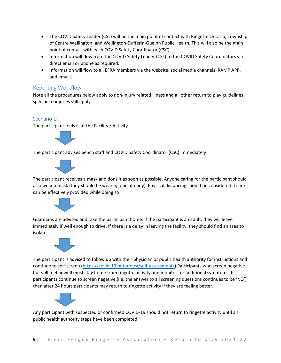- The COVID Safety Leader (CSL) will be the main point of contact with Ringette Ontario, Township of Centre Wellington, and Wellington‐Dufferin‐Guelph Public Health. This will also be the main point of contact with each COVID Safety Coordinator (CSC).
- Information will flow from the COVID Safety Leader (CSL) to the COVID Safety Coordinators via direct email or phone as required.
- Information will flow to all EFRA members via the website, social media channels, RAMP APP, and emails.

### Reporting Workflow:

Note all the procedures below apply to non‐injury related illness and all other return to play guidelines specific to injuries still apply.

#### Scenario 1:

The participant feels ill at the Facility / Activity



The participant advises bench staff and COVID Safety Coordinator (CSC) immediately



The participant receives a mask and dons it as soon as possible. Anyone caring for the participant should also wear a mask (they should be wearing one already). Physical distancing should be considered if care can be effectively provided while doing so



Guardians are advised and take the participant home. If the participant is an adult, they will leave immediately if well enough to drive. If there is a delay in leaving the facility, they should find an area to isolate.



The participant is advised to follow up with their physician or public health authority for instructions and continue to self‐screen (https://covid‐19.ontario.ca/self‐assessment/) Participants who screen negative but still feel unwell must stay home from ringette activity and monitor for additional symptoms. If participants continue to screen negative (i.e. the answer to all screening questions continues to be 'NO') then after 24 hours participants may return to ringette activity if they are feeling better.



Any participant with suspected or confirmed COVID‐19 should not return to ringette activity until all public health authority steps have been completed.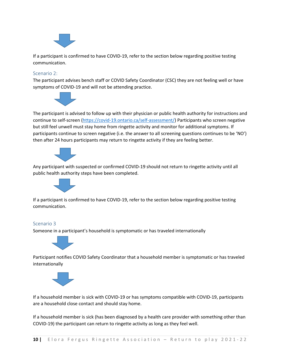

If a participant is confirmed to have COVID‐19, refer to the section below regarding positive testing communication.

#### Scenario 2:

The participant advises bench staff or COVID Safety Coordinator (CSC) they are not feeling well or have symptoms of COVID‐19 and will not be attending practice.



The participant is advised to follow up with their physician or public health authority for instructions and continue to self‐screen (https://covid‐19.ontario.ca/self‐assessment/) Participants who screen negative but still feel unwell must stay home from ringette activity and monitor for additional symptoms. If participants continue to screen negative (i.e. the answer to all screening questions continues to be 'NO') then after 24 hours participants may return to ringette activity if they are feeling better.



Any participant with suspected or confirmed COVID‐19 should not return to ringette activity until all public health authority steps have been completed.



If a participant is confirmed to have COVID‐19, refer to the section below regarding positive testing communication.

#### Scenario 3

Someone in a participant's household is symptomatic or has traveled internationally



Participant notifies COVID Safety Coordinator that a household member is symptomatic or has traveled internationally



If a household member is sick with COVID‐19 or has symptoms compatible with COVID‐19, participants are a household close contact and should stay home.

If a household member is sick (has been diagnosed by a health care provider with something other than COVID‐19) the participant can return to ringette activity as long as they feel well.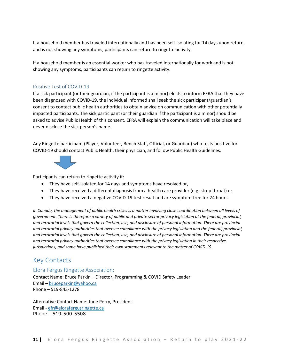If a household member has traveled internationally and has been self-isolating for 14 days upon return, and is not showing any symptoms, participants can return to ringette activity.

If a household member is an essential worker who has traveled internationally for work and is not showing any symptoms, participants can return to ringette activity.

### Positive Test of COVID‐19

If a sick participant (or their guardian, if the participant is a minor) elects to inform EFRA that they have been diagnosed with COVID‐19, the individual informed shall seek the sick participant/guardian's consent to contact public health authorities to obtain advice on communication with other potentially impacted participants. The sick participant (or their guardian if the participant is a minor) should be asked to advise Public Health of this consent. EFRA will explain the communication will take place and never disclose the sick person's name.

Any Ringette participant (Player, Volunteer, Bench Staff, Official, or Guardian) who tests positive for COVID‐19 should contact Public Health, their physician, and follow Public Health Guidelines.



Participants can return to ringette activity if:

- They have self‐isolated for 14 days and symptoms have resolved or,
- They have received a different diagnosis from a health care provider (e.g. strep throat) or
- They have received a negative COVID-19 test result and are symptom-free for 24 hours.

In Canada, the management of public health crises is a matter involving close coordination between all levels of government. There is therefore a variety of public and private sector privacy legislation at the federal, provincial, and territorial levels that govern the collection, use, and disclosure of personal information. There are provincial *and territorial privacy authorities that oversee compliance with the privacy legislation and the federal, provincial,* and territorial levels that govern the collection, use, and disclosure of personal information. There are provincial *and territorial privacy authorities that oversee compliance with the privacy legislation in their respective jurisdictions, and some have published their own statements relevant to the matter of COVID‐19.*

# Key Contacts

### Elora Fergus Ringette Association:

Contact Name: Bruce Parkin – Director, Programming & COVID Safety Leader Email – bruceparkin@yahoo.ca Phone – 519‐843‐1278

Alternative Contact Name: June Perry, President Email ‐ efr@elorafergusringette.ca Phone - 519-500-5508